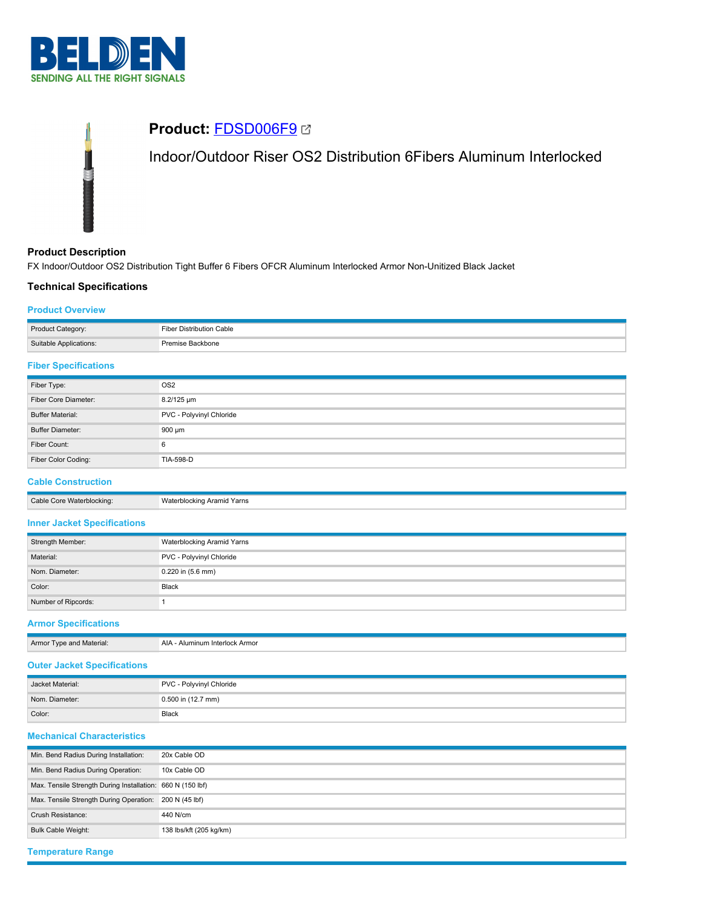

# **Product:** [FDSD006F9](https://catalog.belden.com/index.cfm?event=pd&p=PF_FDSD006F9&tab=downloads) Indoor/Outdoor Riser OS2 Distribution 6Fibers Aluminum Interlocked

## **Product Description**

FX Indoor/Outdoor OS2 Distribution Tight Buffer 6 Fibers OFCR Aluminum Interlocked Armor Non-Unitized Black Jacket

## **Technical Specifications**

## **Product Overview**

| Product Category:      | Fiber Distribution Cable |
|------------------------|--------------------------|
| Suitable Applications: | Premise Backbone         |

### **Fiber Specifications**

| Fiber Type:             | OS <sub>2</sub>          |
|-------------------------|--------------------------|
| Fiber Core Diameter:    | 8.2/125 um               |
| <b>Buffer Material:</b> | PVC - Polyvinyl Chloride |
| <b>Buffer Diameter:</b> | 900 µm                   |
| Fiber Count:            | 6                        |
| Fiber Color Coding:     | TIA-598-D                |

## **Cable Construction**

Cable Core Waterblocking: Waterblocking Aramid Yarns

### **Inner Jacket Specifications**

| Strength Member:    | Waterblocking Aramid Yarns |  |
|---------------------|----------------------------|--|
| Material:           | PVC - Polyvinyl Chloride   |  |
| Nom. Diameter:      | $0.220$ in $(5.6$ mm)      |  |
| Color:              | <b>Black</b>               |  |
| Number of Ripcords: |                            |  |

## **Armor Specifications**

| Armor Type and Material: | AIA - Aluminum Interlock Armor |
|--------------------------|--------------------------------|

# **Outer Jacket Specifications**

| Jacket Material: | PVC - Polyvinyl Chloride |
|------------------|--------------------------|
| Nom. Diameter:   | $0.500$ in (12.7 mm)     |
| Color:           | <b>Black</b>             |

## **Mechanical Characteristics**

| Min. Bend Radius During Installation:                      | 20x Cable OD            |
|------------------------------------------------------------|-------------------------|
| Min. Bend Radius During Operation:                         | 10x Cable OD            |
| Max. Tensile Strength During Installation: 660 N (150 lbf) |                         |
| Max. Tensile Strength During Operation:                    | 200 N (45 lbf)          |
| Crush Resistance:                                          | 440 N/cm                |
| <b>Bulk Cable Weight:</b>                                  | 138 lbs/kft (205 kg/km) |

```
Temperature Range
```